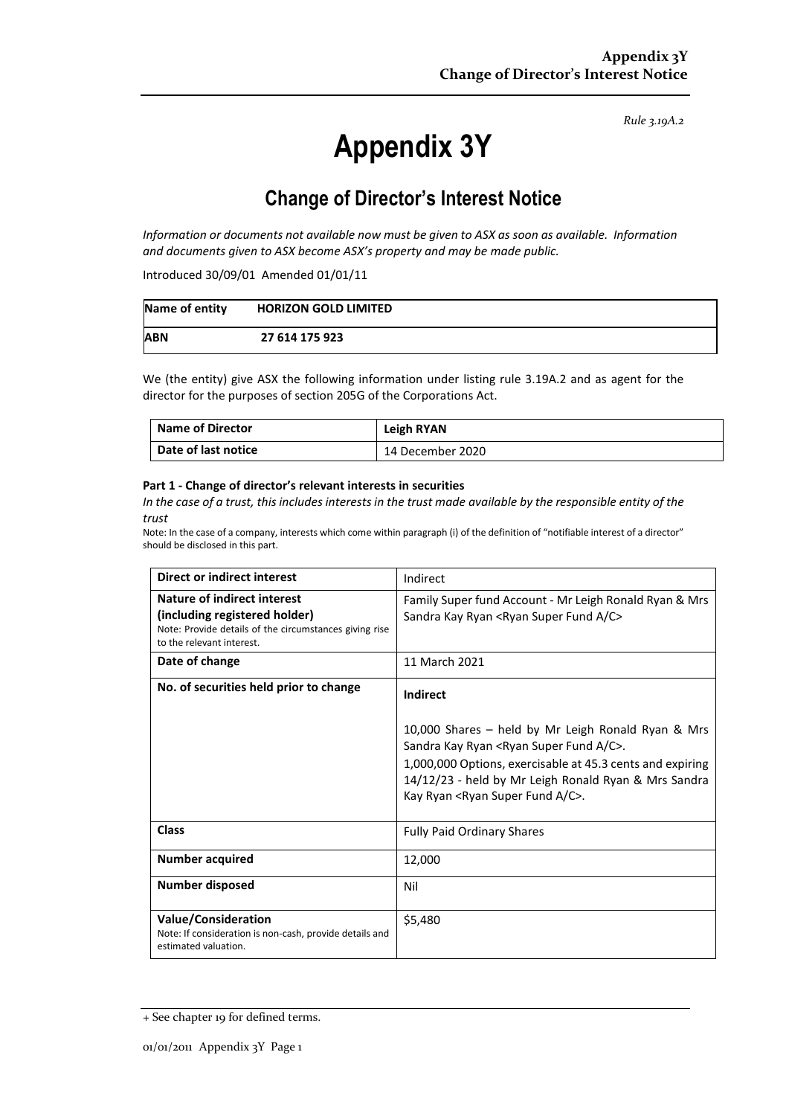*Rule 3.19A.2*

# **Appendix 3Y**

# **Change of Director's Interest Notice**

*Information or documents not available now must be given to ASX as soon as available. Information and documents given to ASX become ASX's property and may be made public.*

Introduced 30/09/01 Amended 01/01/11

| Name of entity | <b>HORIZON GOLD LIMITED</b> |
|----------------|-----------------------------|
| <b>ABN</b>     | 27 614 175 923              |

We (the entity) give ASX the following information under listing rule 3.19A.2 and as agent for the director for the purposes of section 205G of the Corporations Act.

| <b>Name of Director</b> | Leigh RYAN       |
|-------------------------|------------------|
| Date of last notice     | 14 December 2020 |

#### **Part 1 - Change of director's relevant interests in securities**

*In the case of a trust, this includes interests in the trust made available by the responsible entity of the trust*

Note: In the case of a company, interests which come within paragraph (i) of the definition of "notifiable interest of a director" should be disclosed in this part.

| <b>Direct or indirect interest</b>                                                                                                                         | Indirect                                                                                                                                                                                                                                                                                                             |  |
|------------------------------------------------------------------------------------------------------------------------------------------------------------|----------------------------------------------------------------------------------------------------------------------------------------------------------------------------------------------------------------------------------------------------------------------------------------------------------------------|--|
| <b>Nature of indirect interest</b><br>(including registered holder)<br>Note: Provide details of the circumstances giving rise<br>to the relevant interest. | Family Super fund Account - Mr Leigh Ronald Ryan & Mrs<br>Sandra Kay Ryan <ryan a="" c="" fund="" super=""></ryan>                                                                                                                                                                                                   |  |
| Date of change                                                                                                                                             | 11 March 2021                                                                                                                                                                                                                                                                                                        |  |
| No. of securities held prior to change                                                                                                                     | <b>Indirect</b><br>10,000 Shares - held by Mr Leigh Ronald Ryan & Mrs<br>Sandra Kay Ryan <ryan a="" c="" fund="" super="">.<br/>1,000,000 Options, exercisable at 45.3 cents and expiring<br/>14/12/23 - held by Mr Leigh Ronald Ryan &amp; Mrs Sandra<br/>Kay Ryan <ryan a="" c="" fund="" super="">.</ryan></ryan> |  |
| <b>Class</b>                                                                                                                                               | <b>Fully Paid Ordinary Shares</b>                                                                                                                                                                                                                                                                                    |  |
| <b>Number acquired</b>                                                                                                                                     | 12,000                                                                                                                                                                                                                                                                                                               |  |
| Number disposed                                                                                                                                            | Nil                                                                                                                                                                                                                                                                                                                  |  |
| <b>Value/Consideration</b><br>Note: If consideration is non-cash, provide details and<br>estimated valuation.                                              | \$5,480                                                                                                                                                                                                                                                                                                              |  |

<sup>+</sup> See chapter 19 for defined terms.